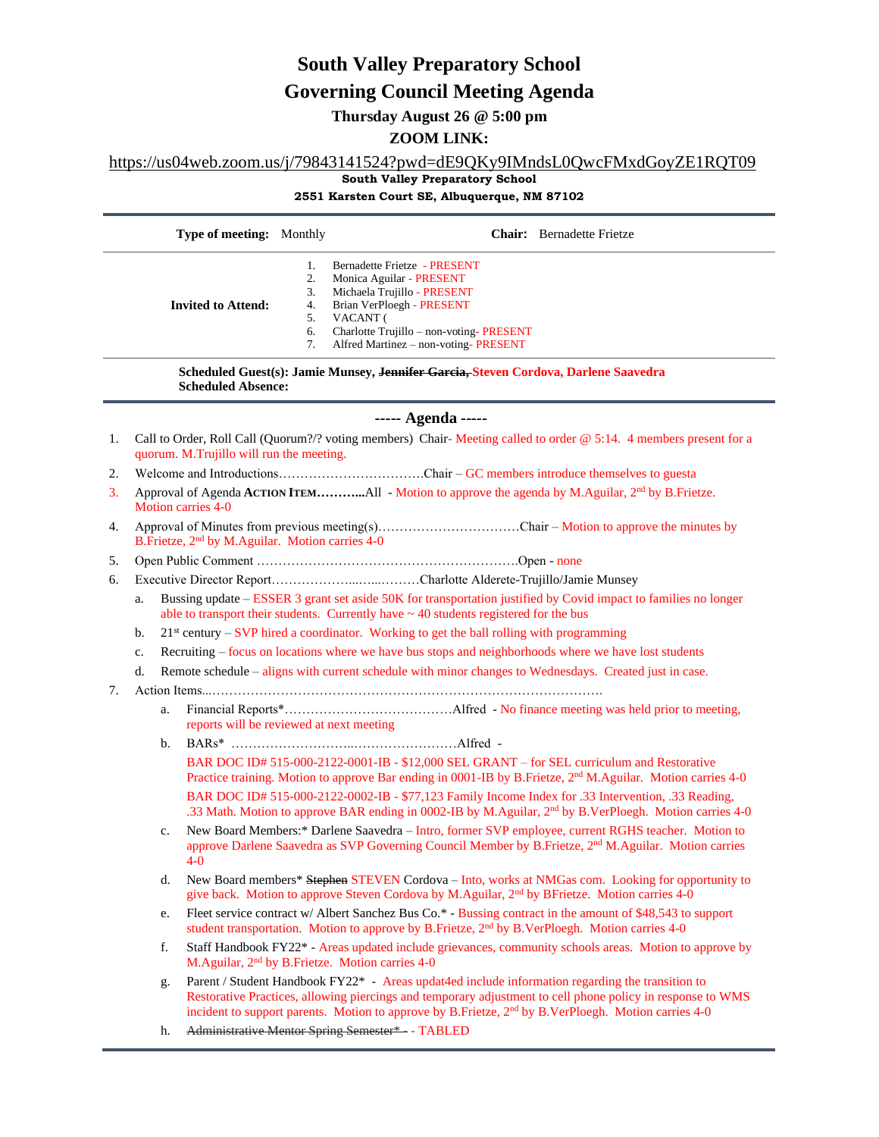# **South Valley Preparatory School**

## **Governing Council Meeting Agenda**

**Thursday August 26 @ 5:00 pm**

## **ZOOM LINK:**

## [https://us04web.zoom.us/j/79843141524?pwd=dE9QKy9IMndsL0QwcFMxdGoyZE1RQT09](https://www.google.com/url?q=https://us04web.zoom.us/j/79843141524?pwd%3DdE9QKy9IMndsL0QwcFMxdGoyZE1RQT09&sa=D&source=calendar&ust=1626207489523000&usg=AOvVaw1icEIdelsAbQ7YyGsgXTZW)

**South Valley Preparatory School** 

**2551 Karsten Court SE, Albuquerque, NM 87102** 

|                                                                                                                  |                                                                                                                                                                                                                                                     | Type of meeting: Monthly                 |                                                    |                                                                                                                                                                                                         |  | <b>Chair:</b> Bernadette Frietze                                                                                                                                                                                                                                                                                                  |  |
|------------------------------------------------------------------------------------------------------------------|-----------------------------------------------------------------------------------------------------------------------------------------------------------------------------------------------------------------------------------------------------|------------------------------------------|----------------------------------------------------|---------------------------------------------------------------------------------------------------------------------------------------------------------------------------------------------------------|--|-----------------------------------------------------------------------------------------------------------------------------------------------------------------------------------------------------------------------------------------------------------------------------------------------------------------------------------|--|
|                                                                                                                  |                                                                                                                                                                                                                                                     | <b>Invited to Attend:</b>                | 1.<br>2.<br>3.<br>4.<br>VACANT (<br>5.<br>6.<br>7. | Bernadette Frietze - PRESENT<br>Monica Aguilar - PRESENT<br>Michaela Trujillo - PRESENT<br>Brian VerPloegh - PRESENT<br>Charlotte Trujillo - non-voting-PRESENT<br>Alfred Martinez - non-voting-PRESENT |  |                                                                                                                                                                                                                                                                                                                                   |  |
| Scheduled Guest(s): Jamie Munsey, Jennifer Garcia, Steven Cordova, Darlene Saavedra<br><b>Scheduled Absence:</b> |                                                                                                                                                                                                                                                     |                                          |                                                    |                                                                                                                                                                                                         |  |                                                                                                                                                                                                                                                                                                                                   |  |
| ----- Agenda -----                                                                                               |                                                                                                                                                                                                                                                     |                                          |                                                    |                                                                                                                                                                                                         |  |                                                                                                                                                                                                                                                                                                                                   |  |
| 1.                                                                                                               | Call to Order, Roll Call (Quorum?/? voting members) Chair-Meeting called to order @ 5:14. 4 members present for a<br>quorum. M.Trujillo will run the meeting.                                                                                       |                                          |                                                    |                                                                                                                                                                                                         |  |                                                                                                                                                                                                                                                                                                                                   |  |
| 2.                                                                                                               |                                                                                                                                                                                                                                                     |                                          |                                                    |                                                                                                                                                                                                         |  |                                                                                                                                                                                                                                                                                                                                   |  |
| 3.                                                                                                               | Approval of Agenda ACTION ITEMAll - Motion to approve the agenda by M.Aguilar, 2 <sup>nd</sup> by B.Frietze.<br><b>Motion carries 4-0</b>                                                                                                           |                                          |                                                    |                                                                                                                                                                                                         |  |                                                                                                                                                                                                                                                                                                                                   |  |
| 4.                                                                                                               | Approval of Minutes from previous meeting(s)Chair – Motion to approve the minutes by<br>B.Frietze, 2 <sup>nd</sup> by M.Aguilar. Motion carries 4-0                                                                                                 |                                          |                                                    |                                                                                                                                                                                                         |  |                                                                                                                                                                                                                                                                                                                                   |  |
| 5.                                                                                                               |                                                                                                                                                                                                                                                     |                                          |                                                    |                                                                                                                                                                                                         |  |                                                                                                                                                                                                                                                                                                                                   |  |
| 6.                                                                                                               |                                                                                                                                                                                                                                                     |                                          |                                                    |                                                                                                                                                                                                         |  |                                                                                                                                                                                                                                                                                                                                   |  |
|                                                                                                                  | Bussing update – ESSER 3 grant set aside 50K for transportation justified by Covid impact to families no longer<br>a.<br>able to transport their students. Currently have $\sim$ 40 students registered for the bus                                 |                                          |                                                    |                                                                                                                                                                                                         |  |                                                                                                                                                                                                                                                                                                                                   |  |
|                                                                                                                  | $21st$ century – SVP hired a coordinator. Working to get the ball rolling with programming<br>b.                                                                                                                                                    |                                          |                                                    |                                                                                                                                                                                                         |  |                                                                                                                                                                                                                                                                                                                                   |  |
|                                                                                                                  | Recruiting – focus on locations where we have bus stops and neighborhoods where we have lost students<br>c.                                                                                                                                         |                                          |                                                    |                                                                                                                                                                                                         |  |                                                                                                                                                                                                                                                                                                                                   |  |
|                                                                                                                  | Remote schedule – aligns with current schedule with minor changes to Wednesdays. Created just in case.<br>d.                                                                                                                                        |                                          |                                                    |                                                                                                                                                                                                         |  |                                                                                                                                                                                                                                                                                                                                   |  |
| 7.                                                                                                               |                                                                                                                                                                                                                                                     |                                          |                                                    |                                                                                                                                                                                                         |  |                                                                                                                                                                                                                                                                                                                                   |  |
|                                                                                                                  | a.                                                                                                                                                                                                                                                  | reports will be reviewed at next meeting |                                                    |                                                                                                                                                                                                         |  |                                                                                                                                                                                                                                                                                                                                   |  |
|                                                                                                                  | b.                                                                                                                                                                                                                                                  |                                          |                                                    |                                                                                                                                                                                                         |  |                                                                                                                                                                                                                                                                                                                                   |  |
|                                                                                                                  |                                                                                                                                                                                                                                                     |                                          |                                                    |                                                                                                                                                                                                         |  | BAR DOC ID# 515-000-2122-0001-IB - \$12,000 SEL GRANT - for SEL curriculum and Restorative<br>Practice training. Motion to approve Bar ending in 0001-IB by B. Frietze, 2 <sup>nd</sup> M. Aguilar. Motion carries 4-0                                                                                                            |  |
|                                                                                                                  | BAR DOC ID# 515-000-2122-0002-IB - \$77,123 Family Income Index for .33 Intervention, .33 Reading,<br>.33 Math. Motion to approve BAR ending in 0002-IB by M.Aguilar, 2 <sup>nd</sup> by B.VerPloegh. Motion carries 4-0                            |                                          |                                                    |                                                                                                                                                                                                         |  |                                                                                                                                                                                                                                                                                                                                   |  |
|                                                                                                                  | New Board Members:* Darlene Saavedra - Intro, former SVP employee, current RGHS teacher. Motion to<br>c.<br>approve Darlene Saavedra as SVP Governing Council Member by B.Frietze, 2 <sup>nd</sup> M.Aguilar. Motion carries<br>$\Lambda$ $\Lambda$ |                                          |                                                    |                                                                                                                                                                                                         |  |                                                                                                                                                                                                                                                                                                                                   |  |
|                                                                                                                  | d.                                                                                                                                                                                                                                                  |                                          |                                                    |                                                                                                                                                                                                         |  | New Board members* Stephen STEVEN Cordova - Into, works at NMGas com. Looking for opportunity to<br>give back. Motion to approve Steven Cordova by M.Aguilar, 2 <sup>nd</sup> by BFrietze. Motion carries 4-0                                                                                                                     |  |
|                                                                                                                  | e.                                                                                                                                                                                                                                                  |                                          |                                                    |                                                                                                                                                                                                         |  | Fleet service contract w/ Albert Sanchez Bus Co.* - Bussing contract in the amount of \$48,543 to support<br>student transportation. Motion to approve by B.Frietze, 2 <sup>nd</sup> by B.VerPloegh. Motion carries 4-0                                                                                                           |  |
|                                                                                                                  | Staff Handbook FY22* - Areas updated include grievances, community schools areas. Motion to approve by<br>f.<br>M.Aguilar, 2 <sup>nd</sup> by B.Frietze. Motion carries 4-0                                                                         |                                          |                                                    |                                                                                                                                                                                                         |  |                                                                                                                                                                                                                                                                                                                                   |  |
|                                                                                                                  | g.                                                                                                                                                                                                                                                  |                                          |                                                    |                                                                                                                                                                                                         |  | Parent / Student Handbook FY22* - Areas updat4ed include information regarding the transition to<br>Restorative Practices, allowing piercings and temporary adjustment to cell phone policy in response to WMS<br>incident to support parents. Motion to approve by B.Frietze, 2 <sup>nd</sup> by B.VerPloegh. Motion carries 4-0 |  |
|                                                                                                                  | h.                                                                                                                                                                                                                                                  |                                          |                                                    | Administrative Mentor Spring Semester* - TABLED                                                                                                                                                         |  |                                                                                                                                                                                                                                                                                                                                   |  |